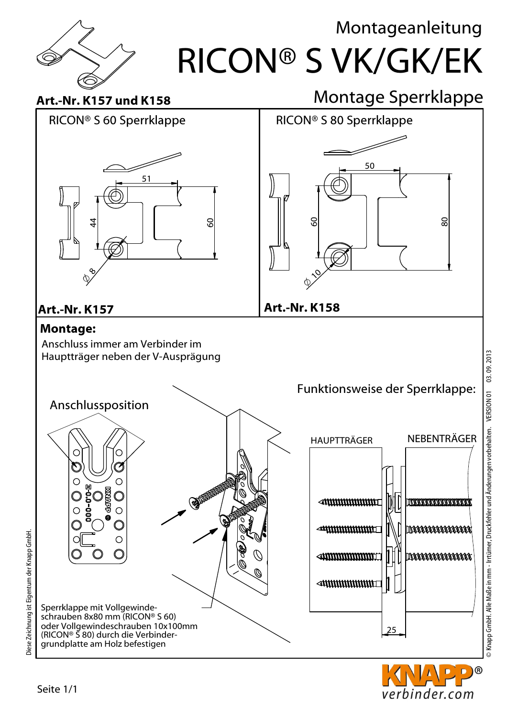



C  $\circ$ **EXPRESSION** 网  $\bigcap$  $\bigcirc$ Sperrklappe mit Vollgewindeschrauben 8x80 mm (RICON® S 60) oder Vollgewindeschrauben 10x100mm (RICON® S 80) durch die Verbindergrundplatte am Holz befestigen



D)® verbinder.com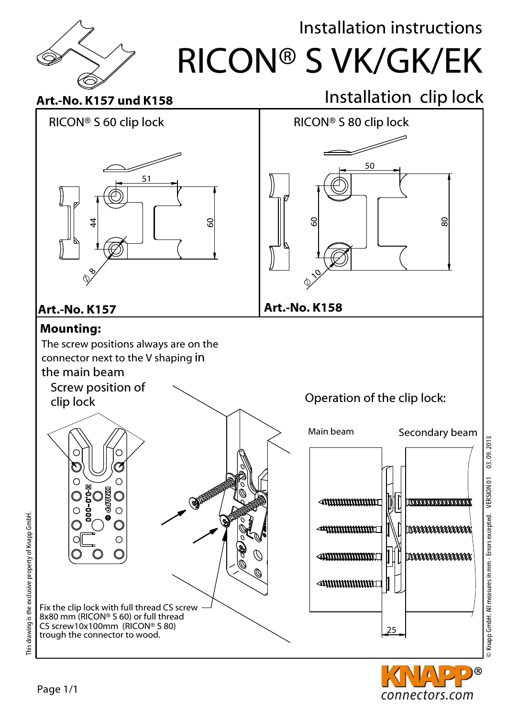

## Installation instructions

RICON® S VK/GK/EK

## Art.-No. K157 und K158

## Installation clip lock